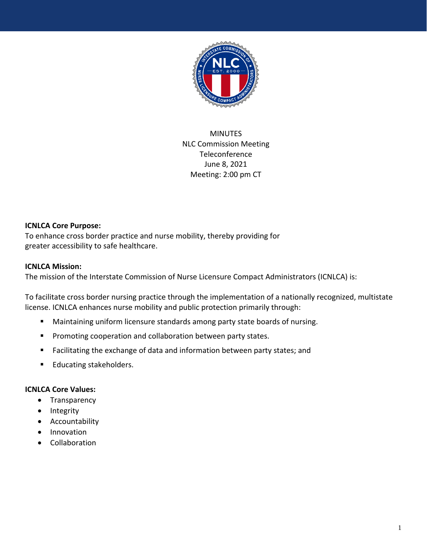

MINUTES NLC Commission Meeting **Teleconference** June 8, 2021 Meeting: 2:00 pm CT

### **ICNLCA Core Purpose:**

To enhance cross border practice and nurse mobility, thereby providing for greater accessibility to safe healthcare.

### **ICNLCA Mission:**

The mission of the Interstate Commission of Nurse Licensure Compact Administrators (ICNLCA) is:

To facilitate cross border nursing practice through the implementation of a nationally recognized, multistate license. ICNLCA enhances nurse mobility and public protection primarily through:

- Maintaining uniform licensure standards among party state boards of nursing.
- **Promoting cooperation and collaboration between party states.**
- Facilitating the exchange of data and information between party states; and
- **Educating stakeholders.**

### **ICNLCA Core Values:**

- Transparency
- Integrity
- Accountability
- Innovation
- Collaboration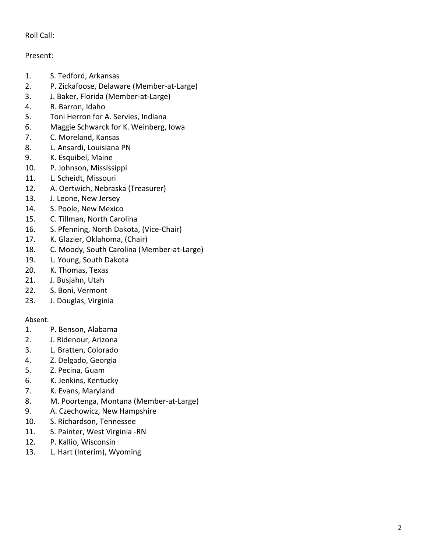# Roll Call:

## Present:

- 1. S. Tedford, Arkansas
- 2. P. Zickafoose, Delaware (Member -at -Large)
- 3. . J. Baker, Florida (Member -at -Large)
- 4 . R. Barron, Idaho
- 5 . Toni Herron for A. Servies, Indiana
- 6 . Maggie Schwarck for K. Weinberg, Iowa
- 7 . C. Moreland, Kansas
- 8 . L. Ansardi, Louisiana PN
- 9 . K. Esquibel, Maine
- 1 0 . P. Johnson, Mississippi
- 1 1 . L. Scheidt, Missouri
- 1 2 . A. Oertwich, Nebraska (Treasurer)
- 13 . J. Leone, New Jersey
- 14 . S. Poole, New Mexico
- 15 . C. Tillman, North Carolina
- 16 . S. Pfenning, North Dakota, (Vice -Chair)
- 17 . K. Glazier, Oklahoma, (Chair)
- 18 . C. Moody, South Carolina (Member -at -Large)
- 19. L. Young, South Dakota
- 20 . K. Thomas, Texas
- 2 1 . J. Busjahn, Utah
- $22.$ 2. S. Boni, Vermont
- 2 3 . J. Douglas, Virginia

### Absent:

- 1. P. Benson, Alabama
- 2. J. Ridenour, Arizona
- 3. L. Bratten, Colorado
- 4. Z. Delgado, Georgia
- 5. Z. Pecina, Guam
- 6. K. Jenkins, Kentucky
- 7. K. Evans, Maryland
- 8. M. Poortenga, Montana (Member -at -Large)
- 9. A. Czechowicz, New Hampshire
- 10. S. Richardson, Tennessee
- 11. S. Painter, West Virginia -RN
- 12. P. Kallio, Wisconsin
- 13. L. Hart (Interim), Wyoming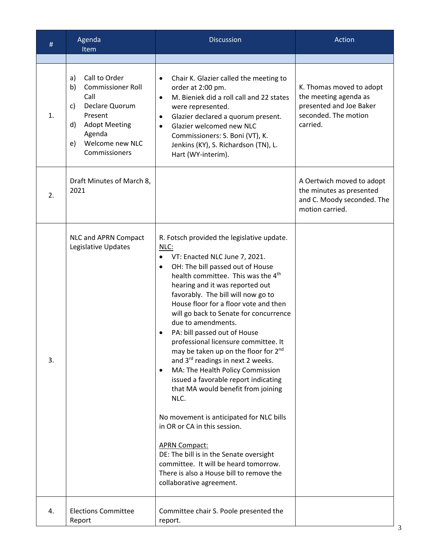| #  | Agenda<br>Item                                                                                                                                                                     | <b>Discussion</b>                                                                                                                                                                                                                                                                                                                                                                                                                                                                                                                                                                                                                                                                                                                                                                                                                                                                                                                                            | Action                                                                                                           |
|----|------------------------------------------------------------------------------------------------------------------------------------------------------------------------------------|--------------------------------------------------------------------------------------------------------------------------------------------------------------------------------------------------------------------------------------------------------------------------------------------------------------------------------------------------------------------------------------------------------------------------------------------------------------------------------------------------------------------------------------------------------------------------------------------------------------------------------------------------------------------------------------------------------------------------------------------------------------------------------------------------------------------------------------------------------------------------------------------------------------------------------------------------------------|------------------------------------------------------------------------------------------------------------------|
|    |                                                                                                                                                                                    |                                                                                                                                                                                                                                                                                                                                                                                                                                                                                                                                                                                                                                                                                                                                                                                                                                                                                                                                                              |                                                                                                                  |
| 1. | Call to Order<br>a)<br><b>Commissioner Roll</b><br>b)<br>Call<br>Declare Quorum<br>C)<br>Present<br><b>Adopt Meeting</b><br>d)<br>Agenda<br>Welcome new NLC<br>e)<br>Commissioners | Chair K. Glazier called the meeting to<br>$\bullet$<br>order at 2:00 pm.<br>M. Bieniek did a roll call and 22 states<br>$\bullet$<br>were represented.<br>Glazier declared a quorum present.<br>$\bullet$<br>Glazier welcomed new NLC<br>$\bullet$<br>Commissioners: S. Boni (VT), K.<br>Jenkins (KY), S. Richardson (TN), L.<br>Hart (WY-interim).                                                                                                                                                                                                                                                                                                                                                                                                                                                                                                                                                                                                          | K. Thomas moved to adopt<br>the meeting agenda as<br>presented and Joe Baker<br>seconded. The motion<br>carried. |
| 2. | Draft Minutes of March 8,<br>2021                                                                                                                                                  |                                                                                                                                                                                                                                                                                                                                                                                                                                                                                                                                                                                                                                                                                                                                                                                                                                                                                                                                                              | A Oertwich moved to adopt<br>the minutes as presented<br>and C. Moody seconded. The<br>motion carried.           |
| 3. | NLC and APRN Compact<br>Legislative Updates                                                                                                                                        | R. Fotsch provided the legislative update.<br>NLC:<br>VT: Enacted NLC June 7, 2021.<br>OH: The bill passed out of House<br>$\bullet$<br>health committee. This was the 4 <sup>th</sup><br>hearing and it was reported out<br>favorably. The bill will now go to<br>House floor for a floor vote and then<br>will go back to Senate for concurrence<br>due to amendments.<br>PA: bill passed out of House<br>professional licensure committee. It<br>may be taken up on the floor for 2 <sup>nd</sup><br>and 3 <sup>rd</sup> readings in next 2 weeks.<br>MA: The Health Policy Commission<br>$\bullet$<br>issued a favorable report indicating<br>that MA would benefit from joining<br>NLC.<br>No movement is anticipated for NLC bills<br>in OR or CA in this session.<br><b>APRN Compact:</b><br>DE: The bill is in the Senate oversight<br>committee. It will be heard tomorrow.<br>There is also a House bill to remove the<br>collaborative agreement. |                                                                                                                  |
| 4. | <b>Elections Committee</b><br>Report                                                                                                                                               | Committee chair S. Poole presented the<br>report.                                                                                                                                                                                                                                                                                                                                                                                                                                                                                                                                                                                                                                                                                                                                                                                                                                                                                                            |                                                                                                                  |